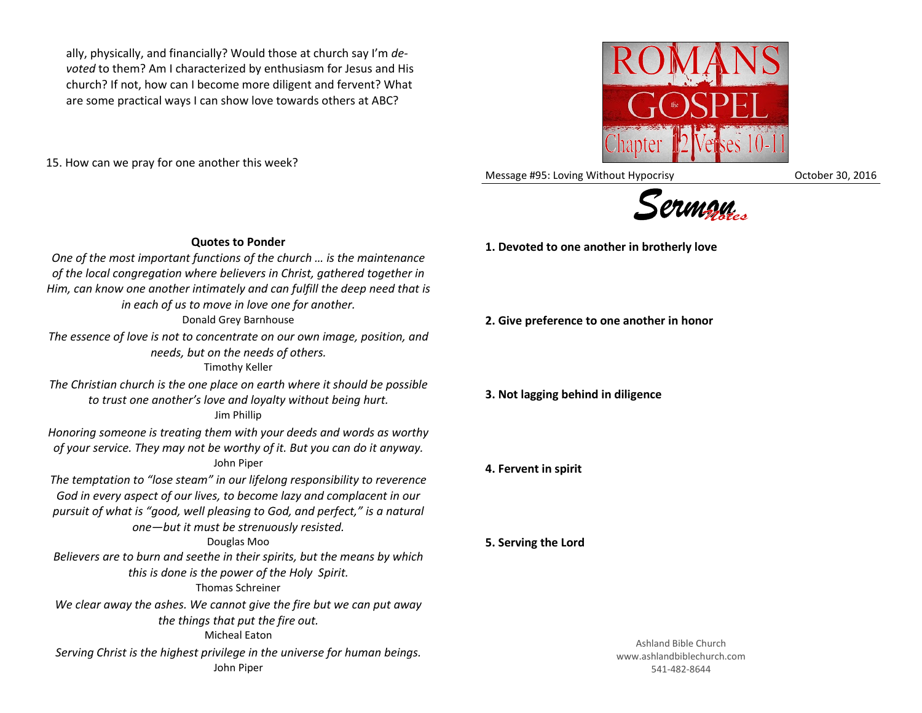ally, physically, and financially? Would those at church say I'm *devoted* to them? Am I characterized by enthusiasm for Jesus and His church? If not, how can I become more diligent and fervent? What are some practical ways I can show love towards others at ABC?

15. How can we pray for one another this week?

Message #95: Loving Without Hypocrisy **Network** Correspondent 30, 2016



**1. Devoted to one another in brotherly love**

**2. Give preference to one another in honor**

**3. Not lagging behind in diligence**

**4. Fervent in spirit**

**5. Serving the Lord**

*pursuit of what is "good, well pleasing to God, and perfect," is a natural one—but it must be strenuously resisted.* Douglas Moo *Believers are to burn and seethe in their spirits, but the means by which this is done is the power of the Holy Spirit.* Thomas Schreiner *We clear away the ashes. We cannot give the fire but we can put away the things that put the fire out.* Micheal Eaton *Serving Christ is the highest privilege in the universe for human beings.* John Piper

# **Quotes to Ponder** *One of the most important functions of the church … is the maintenance*

*of the local congregation where believers in Christ, gathered together in Him, can know one another intimately and can fulfill the deep need that is in each of us to move in love one for another.* Donald Grey Barnhouse *The essence of love is not to concentrate on our own image, position, and needs, but on the needs of others.* Timothy Keller *The Christian church is the one place on earth where it should be possible to trust one another's love and loyalty without being hurt.* Jim Phillip *Honoring someone is treating them with your deeds and words as worthy of your service. They may not be worthy of it. But you can do it anyway.* John Piper *The temptation to "lose steam" in our lifelong responsibility to reverence God in every aspect of our lives, to become lazy and complacent in our* 

Ashland Bible Church www.ashlandbiblechurch.com 541-482-8644